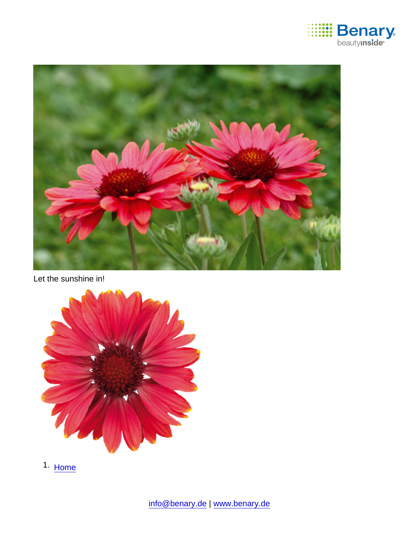

Let the sunshine in!

1. [Home](https://www.benary.com/)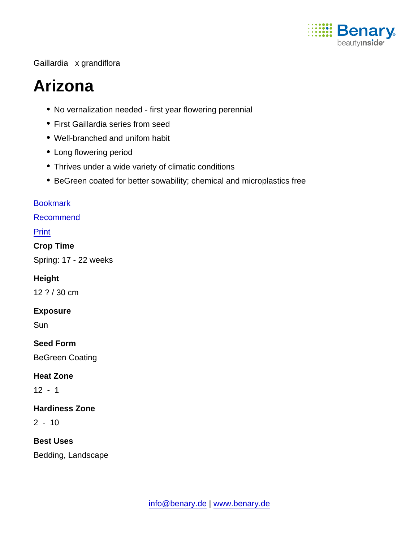

#### Gaillardia x grandiflora

# Arizona

- No vernalization needed first year flowering perennial
- First Gaillardia series from seed
- Well-branched and unifom habit
- Long flowering period
- Thrives under a wide variety of climatic conditions
- BeGreen coated for better sowability; chemical and microplastics free

#### [Bookmark](https://www.benary.com/flag/flag/product/5902?destination&token=En1DN7DU5gGbIdxsKICKBtwXtUFZatuUmBFEc6QT1HE)

[Recommend](mailto:?subject=Benary Gaillardia x grandiflora &body=https://www.benary.com/print/pdf/node/5902)

Print

Crop Time

Spring: 17 - 22 weeks

Height

12 ? / 30 cm

Exposure

**Sun** 

Seed Form

BeGreen Coating

Heat Zone

12 - 1

Hardiness Zone

 $2 - 10$ 

Best Uses

Bedding, Landscape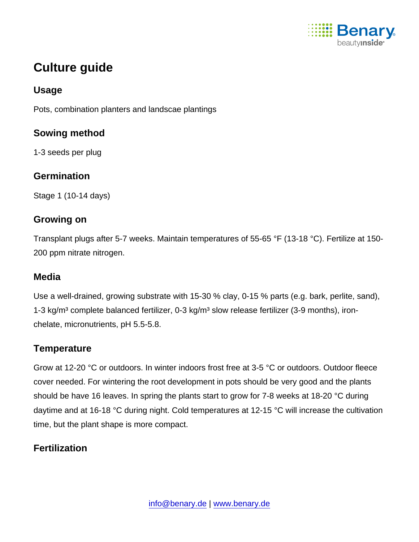

# Culture guide

#### Usage

Pots, combination planters and landscae plantings

Sowing method

1-3 seeds per plug

## **Germination**

Stage 1 (10-14 days)

## Growing on

Transplant plugs after 5-7 weeks. Maintain temperatures of 55-65 °F (13-18 °C). Fertilize at 150- 200 ppm nitrate nitrogen.

#### Media

Use a well-drained, growing substrate with 15-30 % clay, 0-15 % parts (e.g. bark, perlite, sand), 1-3 kg/m<sup>3</sup> complete balanced fertilizer, 0-3 kg/m<sup>3</sup> slow release fertilizer (3-9 months), ironchelate, micronutrients, pH 5.5-5.8.

#### **Temperature**

Grow at 12-20 °C or outdoors. In winter indoors frost free at 3-5 °C or outdoors. Outdoor fleece cover needed. For wintering the root development in pots should be very good and the plants should be have 16 leaves. In spring the plants start to grow for 7-8 weeks at 18-20 °C during daytime and at 16-18 °C during night. Cold temperatures at 12-15 °C will increase the cultivation time, but the plant shape is more compact.

# **Fertilization**